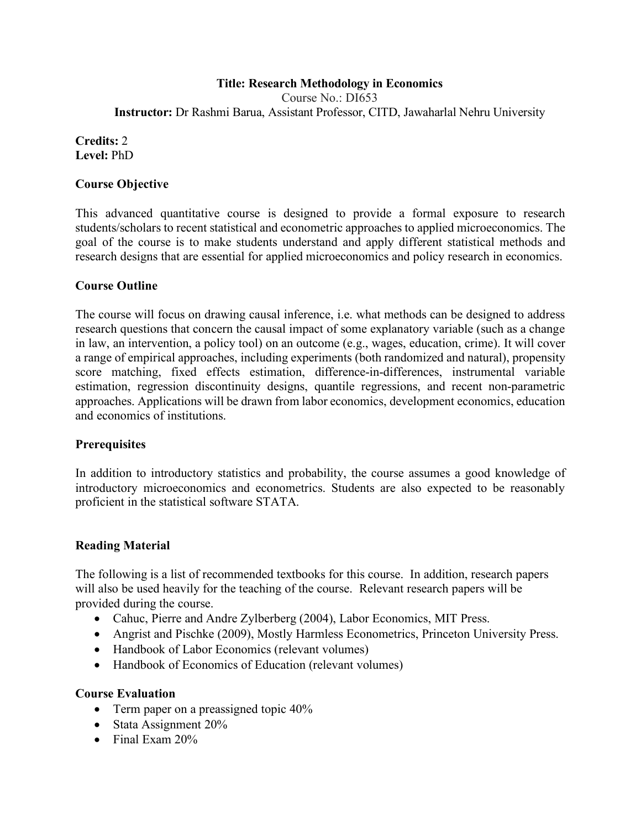#### **Title: Research Methodology in Economics**

Course No.: DI653 **Instructor:** Dr Rashmi Barua, Assistant Professor, CITD, Jawaharlal Nehru University

#### **Credits:** 2 **Level:** PhD

#### **Course Objective**

This advanced quantitative course is designed to provide a formal exposure to research students/scholars to recent statistical and econometric approaches to applied microeconomics. The goal of the course is to make students understand and apply different statistical methods and research designs that are essential for applied microeconomics and policy research in economics.

#### **Course Outline**

The course will focus on drawing causal inference, i.e. what methods can be designed to address research questions that concern the causal impact of some explanatory variable (such as a change in law, an intervention, a policy tool) on an outcome (e.g., wages, education, crime). It will cover a range of empirical approaches, including experiments (both randomized and natural), propensity score matching, fixed effects estimation, difference-in-differences, instrumental variable estimation, regression discontinuity designs, quantile regressions, and recent non-parametric approaches. Applications will be drawn from labor economics, development economics, education and economics of institutions.

#### **Prerequisites**

In addition to introductory statistics and probability, the course assumes a good knowledge of introductory microeconomics and econometrics. Students are also expected to be reasonably proficient in the statistical software STATA.

#### **Reading Material**

The following is a list of recommended textbooks for this course. In addition, research papers will also be used heavily for the teaching of the course. Relevant research papers will be provided during the course.

- Cahuc, Pierre and Andre Zylberberg (2004), Labor Economics, MIT Press.
- Angrist and Pischke (2009), Mostly Harmless Econometrics, Princeton University Press.
- Handbook of Labor Economics (relevant volumes)
- Handbook of Economics of Education (relevant volumes)

#### **Course Evaluation**

- Term paper on a preassigned topic 40%
- Stata Assignment 20%
- Final Exam 20%